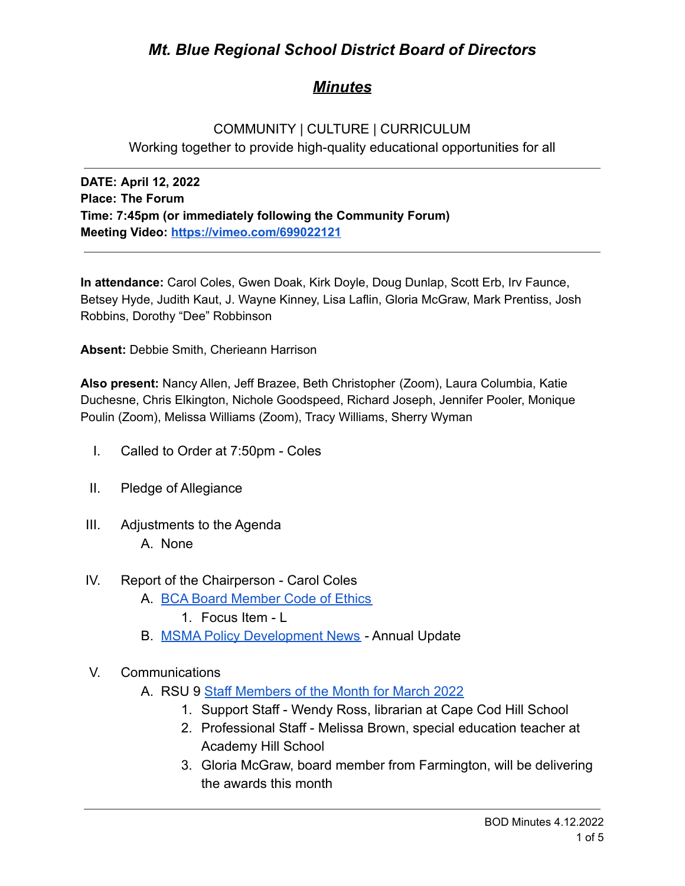# *Mt. Blue Regional School District Board of Directors*

# *Minutes*

## COMMUNITY | CULTURE | CURRICULUM Working together to provide high-quality educational opportunities for all

**DATE: April 12, 2022 Place: The Forum Time: 7:45pm (or immediately following the Community Forum) Meeting Video: <https://vimeo.com/699022121>**

**In attendance:** Carol Coles, Gwen Doak, Kirk Doyle, Doug Dunlap, Scott Erb, Irv Faunce, Betsey Hyde, Judith Kaut, J. Wayne Kinney, Lisa Laflin, Gloria McGraw, Mark Prentiss, Josh Robbins, Dorothy "Dee" Robbinson

**Absent:** Debbie Smith, Cherieann Harrison

**Also present:** Nancy Allen, Jeff Brazee, Beth Christopher (Zoom), Laura Columbia, Katie Duchesne, Chris Elkington, Nichole Goodspeed, Richard Joseph, Jennifer Pooler, Monique Poulin (Zoom), Melissa Williams (Zoom), Tracy Williams, Sherry Wyman

- I. Called to Order at 7:50pm Coles
- II. Pledge of Allegiance
- III. Adjustments to the Agenda A. None
- IV. Report of the Chairperson Carol Coles
	- A. [BCA Board Member Code of Ethics](https://cdn.branchcms.com/yeQ4XpK43n-1155/docs/district/board-of-directors/policy-manual/section-b/BCA-Board-Member-Code-of-Ethics.pdf)
		- 1. Focus Item L
	- B. [MSMA Policy Development News](https://drive.google.com/file/d/1K8ProIZA2KuL9t4TpoZkfNhL3jm-KlxN/view?usp=sharing) Annual Update
- V. Communications
	- A. RSU 9 [Staff Members of the Month for March 2022](https://drive.google.com/file/d/10SZsOF-eu22BortUV5d6LjvjsxVZzrKw/view?usp=sharing)
		- 1. Support Staff Wendy Ross, librarian at Cape Cod Hill School
		- 2. Professional Staff Melissa Brown, special education teacher at Academy Hill School
		- 3. Gloria McGraw, board member from Farmington, will be delivering the awards this month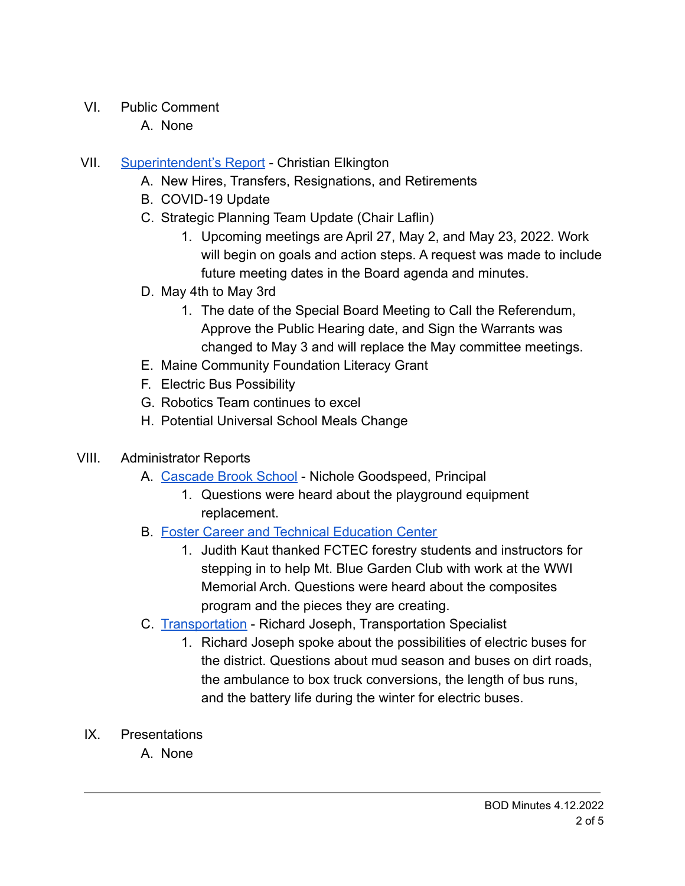- VI. Public Comment
	- A. None
- VII. [Superintendent's Report](https://drive.google.com/file/d/1hbjK8KGF_Giyf0stoPt50OiV4KuE0XyM/view?usp=sharing) Christian Elkington
	- A. New Hires, Transfers, Resignations, and Retirements
	- B. COVID-19 Update
	- C. Strategic Planning Team Update (Chair Laflin)
		- 1. Upcoming meetings are April 27, May 2, and May 23, 2022. Work will begin on goals and action steps. A request was made to include future meeting dates in the Board agenda and minutes.
	- D. May 4th to May 3rd
		- 1. The date of the Special Board Meeting to Call the Referendum, Approve the Public Hearing date, and Sign the Warrants was changed to May 3 and will replace the May committee meetings.
	- E. Maine Community Foundation Literacy Grant
	- F. Electric Bus Possibility
	- G. Robotics Team continues to excel
	- H. Potential Universal School Meals Change
- VIII. Administrator Reports
	- A. [Cascade Brook School](https://drive.google.com/file/d/1ON9_SD_t_wl1Ffg1ZDSSVBKFSJG4fx9J/view?usp=sharing) Nichole Goodspeed, Principal
		- 1. Questions were heard about the playground equipment replacement.
	- B. [Foster Career and Technical Education Center](https://drive.google.com/file/d/1HOEa-_OZweiXE3tIHDNz4dTmvWpGYp96/view?usp=sharing)
		- 1. Judith Kaut thanked FCTEC forestry students and instructors for stepping in to help Mt. Blue Garden Club with work at the WWI Memorial Arch. Questions were heard about the composites program and the pieces they are creating.
	- C. [Transportation](https://drive.google.com/file/d/1a7N5ZkZGdmbD3_8QFWKfK5Vf6YGwjTF1/view?usp=sharing) Richard Joseph, Transportation Specialist
		- 1. Richard Joseph spoke about the possibilities of electric buses for the district. Questions about mud season and buses on dirt roads, the ambulance to box truck conversions, the length of bus runs, and the battery life during the winter for electric buses.
	- IX. Presentations
		- A. None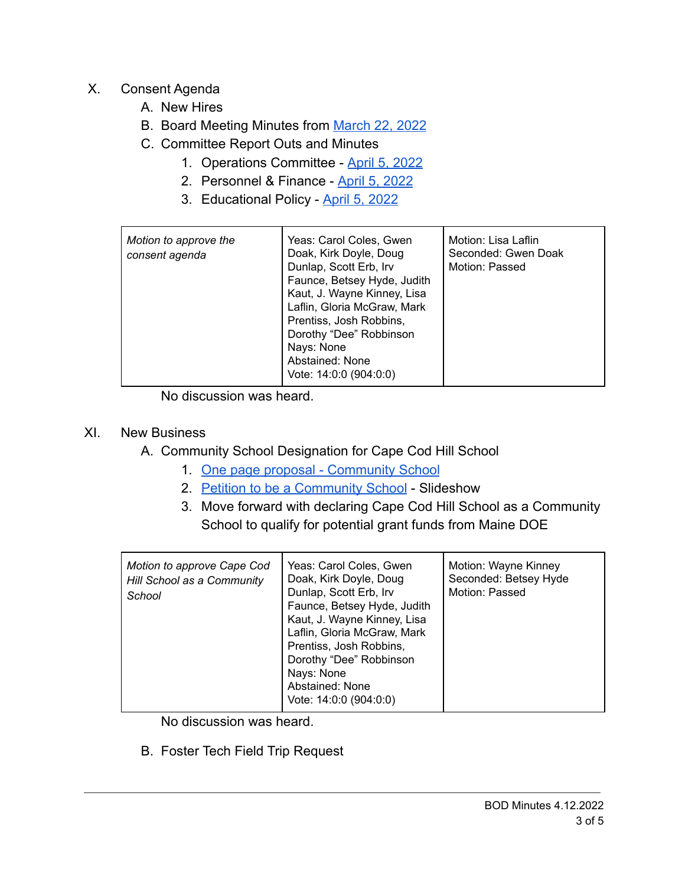- X. Consent Agenda
	- A. New Hires
	- B. Board Meeting Minutes from [March 22, 2022](https://drive.google.com/file/d/1ub5DDWXoANdHJY4fb7eWsaW_wMEZeDUO/view?usp=sharing)
	- C. Committee Report Outs and Minutes
		- 1. Operations Committee [April 5, 2022](https://drive.google.com/file/d/1_HTF-D3hRH0sv8Gj1qG93GVlcVwEu5Q0/view?usp=sharing)
		- 2. Personnel & Finance [April 5, 2022](https://drive.google.com/file/d/1Za8ut3X0zQGIKfv2ulCBcyEiCWsbEjea/view?usp=sharing)
		- 3. Educational Policy [April 5, 2022](https://drive.google.com/file/d/1ONHdWlp2iB1ynPyGII19P9Sqworx5a5b/view?usp=sharing)

| Motion to approve the<br>consent agenda | Yeas: Carol Coles, Gwen<br>Doak, Kirk Doyle, Doug<br>Dunlap, Scott Erb, Irv<br>Faunce, Betsey Hyde, Judith<br>Kaut, J. Wayne Kinney, Lisa<br>Laflin, Gloria McGraw, Mark<br>Prentiss, Josh Robbins,<br>Dorothy "Dee" Robbinson<br>Nays: None<br>Abstained: None | Motion: Lisa Laflin<br>Seconded: Gwen Doak<br>Motion: Passed |
|-----------------------------------------|-----------------------------------------------------------------------------------------------------------------------------------------------------------------------------------------------------------------------------------------------------------------|--------------------------------------------------------------|
|                                         | Vote: 14:0:0 (904:0:0)                                                                                                                                                                                                                                          |                                                              |

No discussion was heard.

## XI. New Business

- A. Community School Designation for Cape Cod Hill School
	- 1. [One page proposal Community School](https://drive.google.com/file/d/1QsZJU_6nKOvLliR3KUHj6sLDmw3wfDtl/view?usp=sharing)
	- 2. [Petition to be a Community School](https://drive.google.com/file/d/11YtVJn77qiaoegjbl5CaSuvD12w1TbAN/view?usp=sharing) Slideshow
	- 3. Move forward with declaring Cape Cod Hill School as a Community School to qualify for potential grant funds from Maine DOE

| Motion to approve Cape Cod<br>Hill School as a Community<br>School | Yeas: Carol Coles, Gwen<br>Doak, Kirk Doyle, Doug<br>Dunlap, Scott Erb, Irv<br>Faunce, Betsey Hyde, Judith<br>Kaut, J. Wayne Kinney, Lisa<br>Laflin, Gloria McGraw, Mark<br>Prentiss, Josh Robbins,<br>Dorothy "Dee" Robbinson<br>Nays: None<br>Abstained: None<br>Vote: 14:0:0 (904:0:0) | Motion: Wayne Kinney<br>Seconded: Betsey Hyde<br>Motion: Passed |
|--------------------------------------------------------------------|-------------------------------------------------------------------------------------------------------------------------------------------------------------------------------------------------------------------------------------------------------------------------------------------|-----------------------------------------------------------------|
|--------------------------------------------------------------------|-------------------------------------------------------------------------------------------------------------------------------------------------------------------------------------------------------------------------------------------------------------------------------------------|-----------------------------------------------------------------|

No discussion was heard.

B. Foster Tech Field Trip Request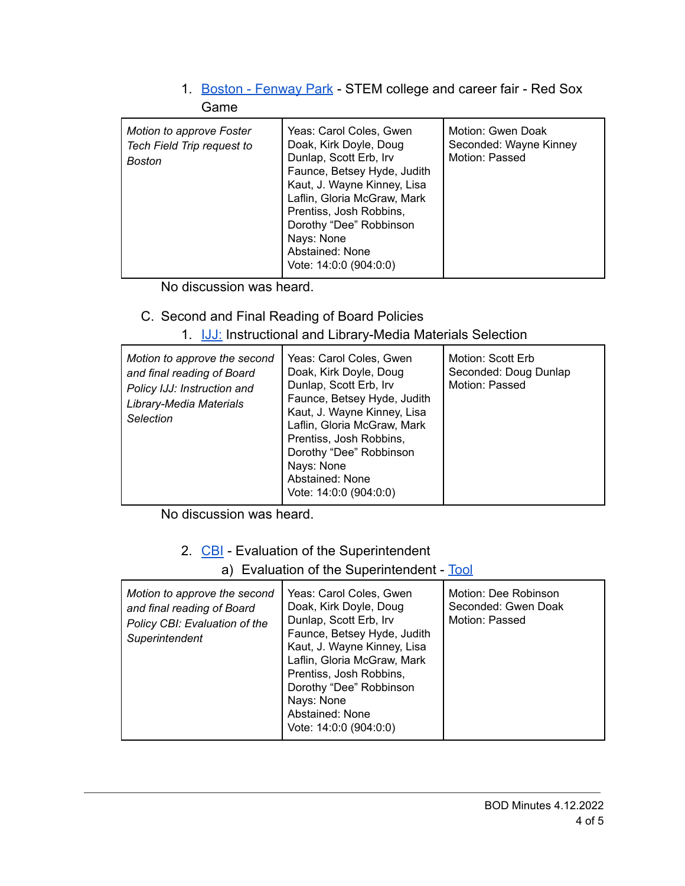#### 1. [Boston - Fenway Park](https://drive.google.com/file/d/1vbHPSIOe65eXQikEcmbEXsMMkb83cL4i/view?usp=sharing) - STEM college and career fair - Red Sox Game

| Motion to approve Foster<br>Tech Field Trip request to<br>Boston | Yeas: Carol Coles, Gwen<br>Doak, Kirk Doyle, Doug<br>Dunlap, Scott Erb, Irv<br>Faunce, Betsey Hyde, Judith<br>Kaut, J. Wayne Kinney, Lisa<br>Laflin, Gloria McGraw, Mark<br>Prentiss, Josh Robbins,<br>Dorothy "Dee" Robbinson<br>Nays: None<br>Abstained: None<br>Vote: 14:0:0 (904:0:0) | Motion: Gwen Doak<br>Seconded: Wayne Kinney<br>Motion: Passed |
|------------------------------------------------------------------|-------------------------------------------------------------------------------------------------------------------------------------------------------------------------------------------------------------------------------------------------------------------------------------------|---------------------------------------------------------------|
|------------------------------------------------------------------|-------------------------------------------------------------------------------------------------------------------------------------------------------------------------------------------------------------------------------------------------------------------------------------------|---------------------------------------------------------------|

No discussion was heard.

# C. Second and Final Reading of Board Policies

### 1. [IJJ:](https://drive.google.com/file/d/1FtWRyQc5zhlyDFJR3s9mdBWlQRT7sxAC/view?usp=sharing) Instructional and Library-Media Materials Selection

| Motion to approve the second<br>and final reading of Board<br>Policy IJJ: Instruction and<br>Library-Media Materials<br>Selection | Yeas: Carol Coles, Gwen<br>Doak, Kirk Doyle, Doug<br>Dunlap, Scott Erb, Irv<br>Faunce, Betsey Hyde, Judith<br>Kaut, J. Wayne Kinney, Lisa<br>Laflin, Gloria McGraw, Mark<br>Prentiss, Josh Robbins,<br>Dorothy "Dee" Robbinson<br>Nays: None<br>Abstained: None<br>Vote: $14:0:0$ (904:0:0) | Motion: Scott Erb<br>Seconded: Doug Dunlap<br>Motion: Passed |
|-----------------------------------------------------------------------------------------------------------------------------------|---------------------------------------------------------------------------------------------------------------------------------------------------------------------------------------------------------------------------------------------------------------------------------------------|--------------------------------------------------------------|
|-----------------------------------------------------------------------------------------------------------------------------------|---------------------------------------------------------------------------------------------------------------------------------------------------------------------------------------------------------------------------------------------------------------------------------------------|--------------------------------------------------------------|

No discussion was heard.

### 2. [CBI](https://drive.google.com/file/d/19JifHQkx7xur05iq_S2bggV1JSEJLHRa/view?usp=sharing) - Evaluation of the Superintendent

### a) Evaluation of the Superintendent - [Tool](https://drive.google.com/file/d/1NvU0y3sBuQ_feolHhYA8Uu4iuKN-tZgu/view?usp=sharing)